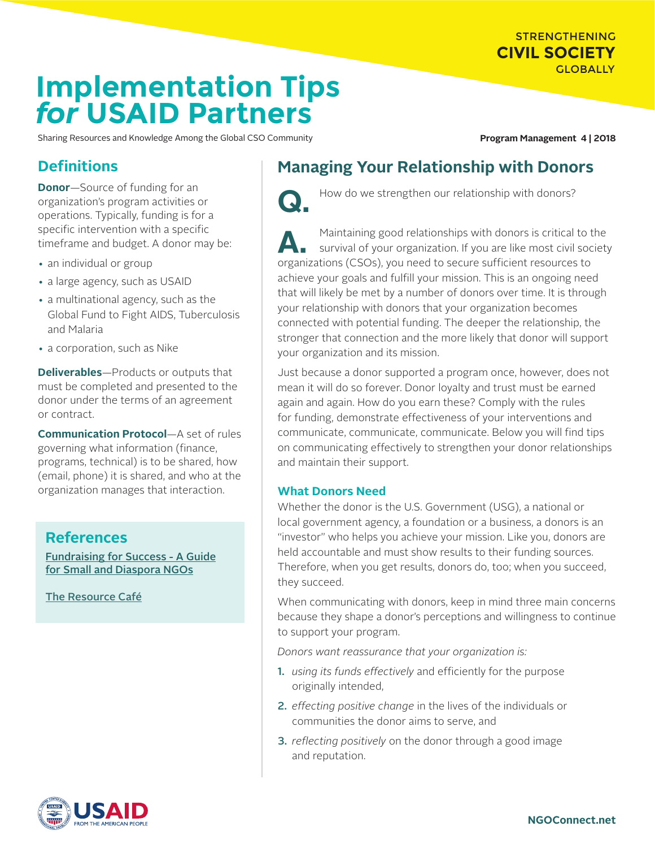# STRENGTHENING **CIVIL SOCIETY GLOBALLY**

# **Implementation Tips** *for* **USAID Partners**

Sharing Resources and Knowledge Among the Global CSO Community **Program Management 4 | 2018** 

# **Definitions**

**Donor**—Source of funding for an organization's program activities or operations. Typically, funding is for a specific intervention with a specific timeframe and budget. A donor may be:

- an individual or group
- a large agency, such as USAID
- a multinational agency, such as the Global Fund to Fight AIDS, Tuberculosis and Malaria
- a corporation, such as Nike

**Deliverables**—Products or outputs that must be completed and presented to the donor under the terms of an agreement or contract.

**Communication Protocol**—A set of rules governing what information (finance, programs, technical) is to be shared, how (email, phone) it is shared, and who at the organization manages that interaction.

# **References**

[Fundraising for Success - A Guide](https://www.intrac.org/wpcms/wp-content/uploads/2016/09/Fundraising-A-PLP-Toolkit-INTRAC-1.pdf) [for Small and Diaspora NGOs](https://www.intrac.org/wpcms/wp-content/uploads/2016/09/Fundraising-A-PLP-Toolkit-INTRAC-1.pdf)

[The Resource Café](https://resource-cafe.org/)

# **Managing Your Relationship with Donors**



How do we strengthen our relationship with donors?

**A.** Maintaining good relationships with donors is critical to the<br>survival of your organization. If you are like most civil society organizations (CSOs), you need to secure sufficient resources to achieve your goals and fulfill your mission. This is an ongoing need that will likely be met by a number of donors over time. It is through your relationship with donors that your organization becomes connected with potential funding. The deeper the relationship, the stronger that connection and the more likely that donor will support your organization and its mission.

Just because a donor supported a program once, however, does not mean it will do so forever. Donor loyalty and trust must be earned again and again. How do you earn these? Comply with the rules for funding, demonstrate effectiveness of your interventions and communicate, communicate, communicate. Below you will find tips on communicating effectively to strengthen your donor relationships and maintain their support.

#### **What Donors Need**

Whether the donor is the U.S. Government (USG), a national or local government agency, a foundation or a business, a donors is an "investor" who helps you achieve your mission. Like you, donors are held accountable and must show results to their funding sources. Therefore, when you get results, donors do, too; when you succeed, they succeed.

When communicating with donors, keep in mind three main concerns because they shape a donor's perceptions and willingness to continue to support your program.

*Donors want reassurance that your organization is:*

- 1. *using its funds effectively* and efficiently for the purpose originally intended,
- 2. *effecting positive change* in the lives of the individuals or communities the donor aims to serve, and
- 3. *reflecting positively* on the donor through a good image and reputation.

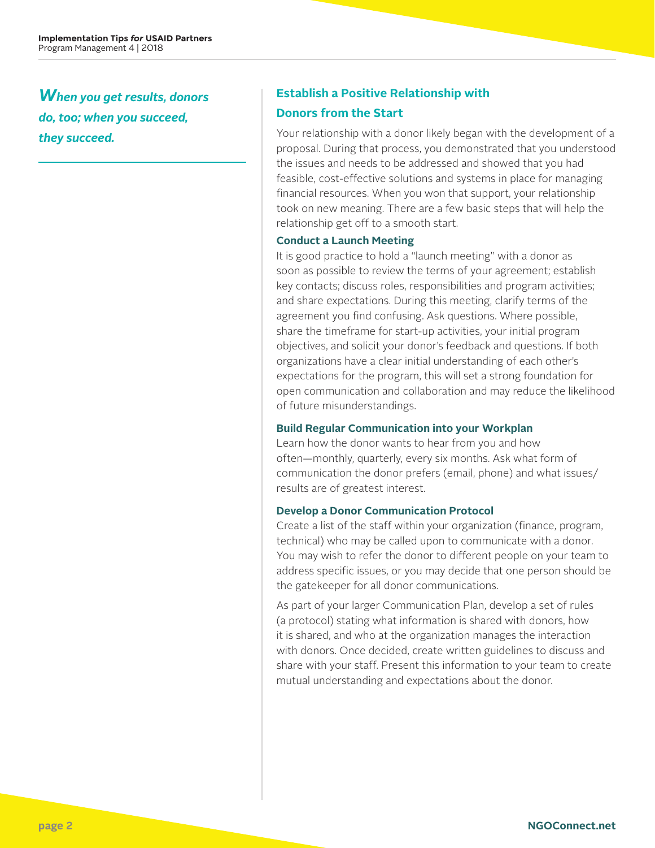*When you get results, donors do, too; when you succeed, they succeed.*

## **Establish a Positive Relationship with**

## **Donors from the Start**

Your relationship with a donor likely began with the development of a proposal. During that process, you demonstrated that you understood the issues and needs to be addressed and showed that you had feasible, cost-effective solutions and systems in place for managing financial resources. When you won that support, your relationship took on new meaning. There are a few basic steps that will help the relationship get off to a smooth start.

#### **Conduct a Launch Meeting**

It is good practice to hold a "launch meeting" with a donor as soon as possible to review the terms of your agreement; establish key contacts; discuss roles, responsibilities and program activities; and share expectations. During this meeting, clarify terms of the agreement you find confusing. Ask questions. Where possible, share the timeframe for start-up activities, your initial program objectives, and solicit your donor's feedback and questions. If both organizations have a clear initial understanding of each other's expectations for the program, this will set a strong foundation for open communication and collaboration and may reduce the likelihood of future misunderstandings.

### **Build Regular Communication into your Workplan**

Learn how the donor wants to hear from you and how often—monthly, quarterly, every six months. Ask what form of communication the donor prefers (email, phone) and what issues/ results are of greatest interest.

### **Develop a Donor Communication Protocol**

Create a list of the staff within your organization (finance, program, technical) who may be called upon to communicate with a donor. You may wish to refer the donor to different people on your team to address specific issues, or you may decide that one person should be the gatekeeper for all donor communications.

As part of your larger Communication Plan, develop a set of rules (a protocol) stating what information is shared with donors, how it is shared, and who at the organization manages the interaction with donors. Once decided, create written guidelines to discuss and share with your staff. Present this information to your team to create mutual understanding and expectations about the donor.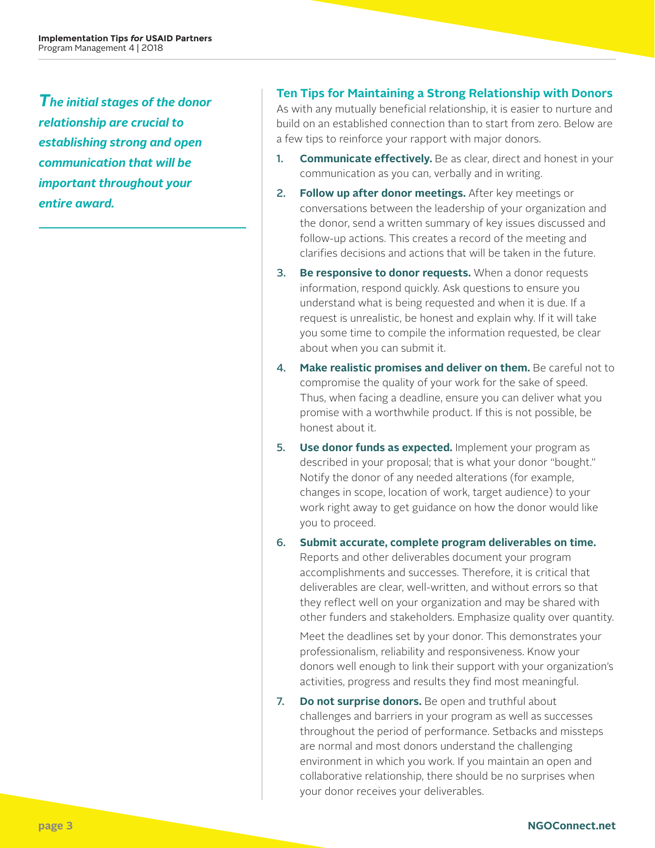*The initial stages of the donor relationship are crucial to establishing strong and open communication that will be important throughout your entire award.*

## **Ten Tips for Maintaining a Strong Relationship with Donors**

As with any mutually beneficial relationship, it is easier to nurture and build on an established connection than to start from zero. Below are a few tips to reinforce your rapport with major donors.

- 1. **Communicate effectively.** Be as clear, direct and honest in your communication as you can, verbally and in writing.
- 2. **Follow up after donor meetings.** After key meetings or conversations between the leadership of your organization and the donor, send a written summary of key issues discussed and follow-up actions. This creates a record of the meeting and clarifies decisions and actions that will be taken in the future.
- 3. **Be responsive to donor requests.** When a donor requests information, respond quickly. Ask questions to ensure you understand what is being requested and when it is due. If a request is unrealistic, be honest and explain why. If it will take you some time to compile the information requested, be clear about when you can submit it.
- 4. **Make realistic promises and deliver on them.** Be careful not to compromise the quality of your work for the sake of speed. Thus, when facing a deadline, ensure you can deliver what you promise with a worthwhile product. If this is not possible, be honest about it.
- 5. **Use donor funds as expected.** Implement your program as described in your proposal; that is what your donor "bought." Notify the donor of any needed alterations (for example, changes in scope, location of work, target audience) to your work right away to get guidance on how the donor would like you to proceed.
- 6. **Submit accurate, complete program deliverables on time.** Reports and other deliverables document your program accomplishments and successes. Therefore, it is critical that deliverables are clear, well-written, and without errors so that they reflect well on your organization and may be shared with other funders and stakeholders. Emphasize quality over quantity.

Meet the deadlines set by your donor. This demonstrates your professionalism, reliability and responsiveness. Know your donors well enough to link their support with your organization's activities, progress and results they find most meaningful.

7. **Do not surprise donors.** Be open and truthful about challenges and barriers in your program as well as successes throughout the period of performance. Setbacks and missteps are normal and most donors understand the challenging environment in which you work. If you maintain an open and collaborative relationship, there should be no surprises when your donor receives your deliverables.